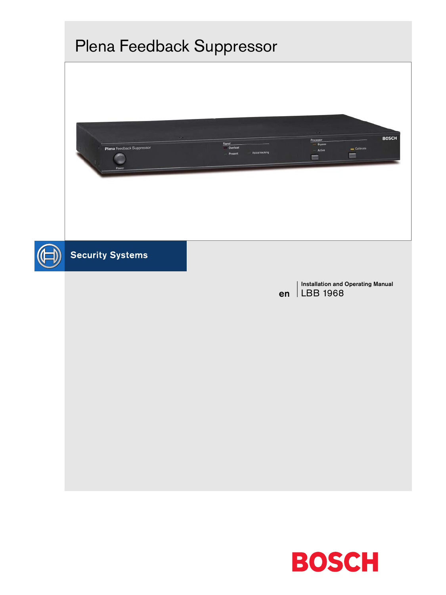

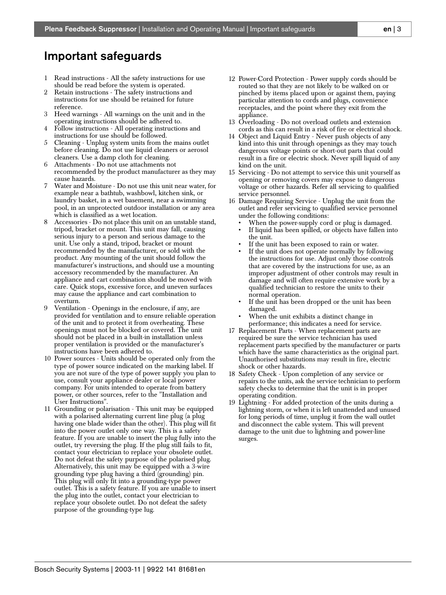# <span id="page-2-0"></span>Important safeguards

- 1 Read instructions All the safety instructions for use should be read before the system is operated.
- 2 Retain instructions The safety instructions and instructions for use should be retained for future reference.
- 3 Heed warnings All warnings on the unit and in the operating instructions should be adhered to.
- 4 Follow instructions All operating instructions and instructions for use should be followed.
- 5 Cleaning Unplug system units from the mains outlet before cleaning. Do not use liquid cleaners or aerosol cleaners. Use a damp cloth for cleaning.
- 6 Attachments Do not use attachments not recommended by the product manufacturer as they may cause hazards.
- 7 Water and Moisture Do not use this unit near water, for example near a bathtub, washbowl, kitchen sink, or laundry basket, in a wet basement, near a swimming pool, in an unprotected outdoor installation or any area which is classified as a wet location.
- Accessories Do not place this unit on an unstable stand, tripod, bracket or mount. This unit may fall, causing serious injury to a person and serious damage to the unit. Use only a stand, tripod, bracket or mount recommended by the manufacturer, or sold with the product. Any mounting of the unit should follow the manufacturer's instructions, and should use a mounting accessory recommended by the manufacturer. An appliance and cart combination should be moved with care. Quick stops, excessive force, and uneven surfaces may cause the appliance and cart combination to overturn.
- Ventilation Openings in the enclosure, if any, are provided for ventilation and to ensure reliable operation of the unit and to protect it from overheating. These openings must not be blocked or covered. The unit should not be placed in a built-in installation unless proper ventilation is provided or the manufacturer's instructions have been adhered to.
- 10 Power sources Units should be operated only from the type of power source indicated on the marking label. If you are not sure of the type of power supply you plan to use, consult your appliance dealer or local power company. For units intended to operate from battery power, or other sources, refer to the "Installation and User Instructions".
- 11 Grounding or polarisation This unit may be equipped with a polarised alternating current line plug (a plug having one blade wider than the other). This plug will fit into the power outlet only one way. This is a safety feature. If you are unable to insert the plug fully into the outlet, try reversing the plug. If the plug still fails to fit, contact your electrician to replace your obsolete outlet. Do not defeat the safety purpose of the polarised plug. Alternatively, this unit may be equipped with a 3-wire grounding type plug having a third (grounding) pin. This plug will only fit into a grounding-type power outlet. This is a safety feature. If you are unable to insert the plug into the outlet, contact your electrician to replace your obsolete outlet. Do not defeat the safety purpose of the grounding-type lug.
- 12 Power-Cord Protection Power supply cords should be routed so that they are not likely to be walked on or pinched by items placed upon or against them, paying particular attention to cords and plugs, convenience receptacles, and the point where they exit from the appliance.
- 13 Overloading Do not overload outlets and extension cords as this can result in a risk of fire or electrical shock.
- 14 Object and Liquid Entry Never push objects of any kind into this unit through openings as they may touch dangerous voltage points or short-out parts that could result in a fire or electric shock. Never spill liquid of any kind on the unit.
- 15 Servicing Do not attempt to service this unit yourself as opening or removing covers may expose to dangerous voltage or other hazards. Refer all servicing to qualified service personnel.
- 16 Damage Requiring Service Unplug the unit from the outlet and refer servicing to qualified service personnel under the following conditions:
	- When the power-supply cord or plug is damaged.
	- If liquid has been spilled, or objects have fallen into the unit.
	- If the unit has been exposed to rain or water.
	- If the unit does not operate normally by following the instructions for use. Adjust only those controls that are covered by the instructions for use, as an improper adjustment of other controls may result in damage and will often require extensive work by a qualified technician to restore the units to their normal operation.
	- If the unit has been dropped or the unit has been damaged.
	- When the unit exhibits a distinct change in performance; this indicates a need for service.
- 17 Replacement Parts When replacement parts are required be sure the service technician has used replacement parts specified by the manufacturer or parts which have the same characteristics as the original part. Unauthorised substitutions may result in fire, electric shock or other hazards.
- 18 Safety Check Upon completion of any service or repairs to the units, ask the service technician to perform safety checks to determine that the unit is in proper operating condition.
- 19 Lightning For added protection of the units during a lightning storm, or when it is left unattended and unused for long periods of time, unplug it from the wall outlet and disconnect the cable system. This will prevent damage to the unit due to lightning and power-line surges.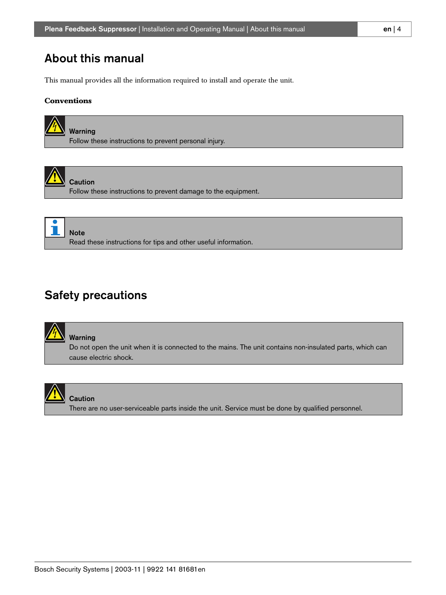# <span id="page-3-0"></span>About this manual

This manual provides all the information required to install and operate the unit.

#### **Conventions**





Caution Follow these instructions to prevent damage to the equipment.

Note Read these instructions for tips and other useful information.

# <span id="page-3-1"></span>Safety precautions



Warning

Do not open the unit when it is connected to the mains. The unit contains non-insulated parts, which can cause electric shock.



#### **Caution**

There are no user-serviceable parts inside the unit. Service must be done by qualified personnel.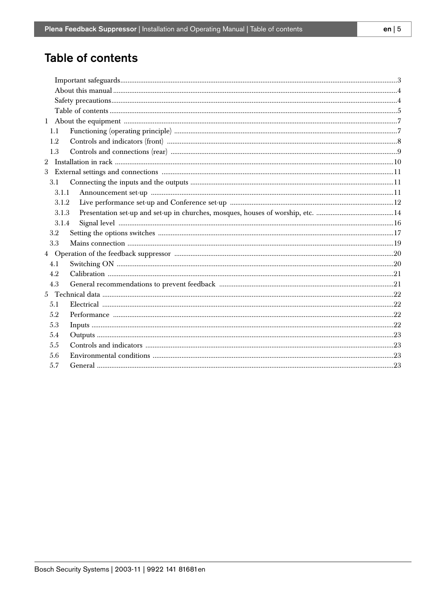# <span id="page-4-0"></span>Table of contents

| 1.1   |  |
|-------|--|
| 1.2   |  |
| 1.3   |  |
|       |  |
|       |  |
| 3.1   |  |
| 3.1.1 |  |
| 3.1.2 |  |
| 3.1.3 |  |
| 3.1.4 |  |
| 3.2   |  |
| 3.3   |  |
|       |  |
| 4.1   |  |
| 4.2   |  |
| 4.3   |  |
|       |  |
| 5.1   |  |
| 5.2   |  |
| 5.3   |  |
| 5.4   |  |
| 5.5   |  |
| 5.6   |  |
| 5.7   |  |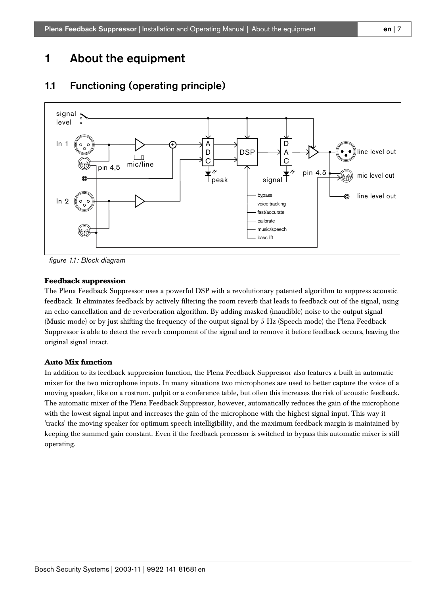# <span id="page-6-0"></span>1 About the equipment



## <span id="page-6-1"></span>1.1 Functioning (operating principle)

*figure 1.1: Block diagram*

#### **Feedback suppression**

The Plena Feedback Suppressor uses a powerful DSP with a revolutionary patented algorithm to suppress acoustic feedback. It eliminates feedback by actively filtering the room reverb that leads to feedback out of the signal, using an echo cancellation and de-reverberation algorithm. By adding masked (inaudible) noise to the output signal (Music mode) or by just shifting the frequency of the output signal by 5 Hz (Speech mode) the Plena Feedback Suppressor is able to detect the reverb component of the signal and to remove it before feedback occurs, leaving the original signal intact.

#### **Auto Mix function**

In addition to its feedback suppression function, the Plena Feedback Suppressor also features a built-in automatic mixer for the two microphone inputs. In many situations two microphones are used to better capture the voice of a moving speaker, like on a rostrum, pulpit or a conference table, but often this increases the risk of acoustic feedback. The automatic mixer of the Plena Feedback Suppressor, however, automatically reduces the gain of the microphone with the lowest signal input and increases the gain of the microphone with the highest signal input. This way it 'tracks' the moving speaker for optimum speech intelligibility, and the maximum feedback margin is maintained by keeping the summed gain constant. Even if the feedback processor is switched to bypass this automatic mixer is still operating.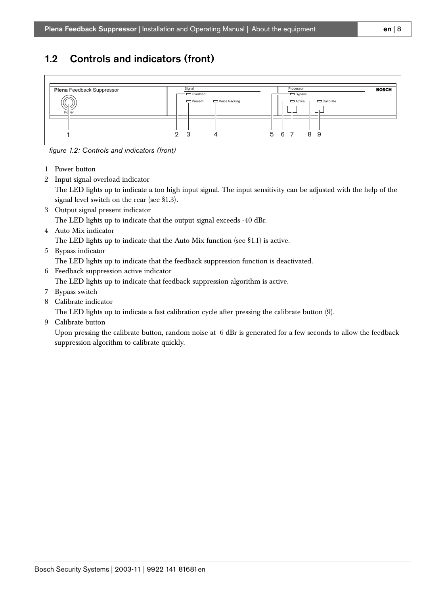## <span id="page-7-0"></span>1.2 Controls and indicators (front)



*figure 1.2: Controls and indicators (front)*

- 1 Power button
- 2 Input signal overload indicator

The LED lights up to indicate a too high input signal. The input sensitivity can be adjusted with the help of the signal level switch on the rear (see [§1.3\)](#page-8-0).

3 Output signal present indicator

The LED lights up to indicate that the output signal exceeds -40 dBr.

4 Auto Mix indicator

The LED lights up to indicate that the Auto Mix function (see [§1.1](#page-6-1)) is active.

5 Bypass indicator

The LED lights up to indicate that the feedback suppression function is deactivated.

6 Feedback suppression active indicator

The LED lights up to indicate that feedback suppression algorithm is active.

- 7 Bypass switch
- 8 Calibrate indicator

The LED lights up to indicate a fast calibration cycle after pressing the calibrate button (9).

9 Calibrate button

Upon pressing the calibrate button, random noise at -6 dBr is generated for a few seconds to allow the feedback suppression algorithm to calibrate quickly.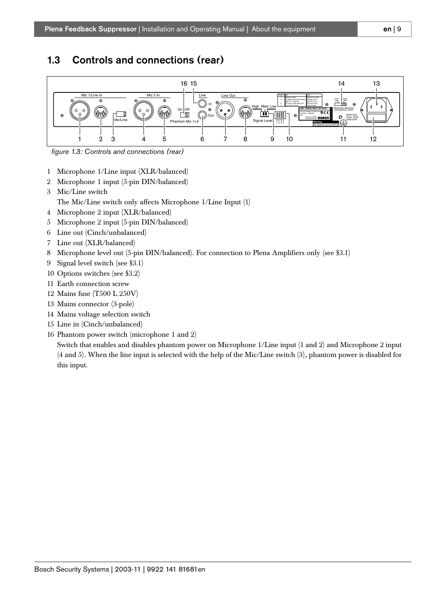## <span id="page-8-0"></span>1.3 Controls and connections (rear)



*figure 1.3: Controls and connections (rear)*

- 1 Microphone 1/Line input (XLR/balanced)
- 2 Microphone 1 input (5-pin DIN/balanced)
- 3 Mic/Line switch The Mic/Line switch only affects Microphone 1/Line Input (1)
- 4 Microphone 2 input (XLR/balanced)
- 5 Microphone 2 input (5-pin DIN/balanced)
- 6 Line out (Cinch/unbalanced)
- 7 Line out (XLR/balanced)
- 8 Microphone level out (5-pin DIN/balanced). For connection to Plena Amplifiers only (see [§3.1\)](#page-10-1)
- 9 Signal level switch (see [§3.1\)](#page-10-1)
- 10 Options switches (see [§3.2](#page-16-0))
- 11 Earth connection screw
- 12 Mains fuse (T500 L 250V)
- 13 Mains connector (3-pole)
- 14 Mains voltage selection switch
- 15 Line in (Cinch/unbalanced)
- 16 Phantom power switch (microphone 1 and 2)

Switch that enables and disables phantom power on Microphone 1/Line input (1 and 2) and Microphone 2 input (4 and 5). When the line input is selected with the help of the Mic/Line switch (3), phantom power is disabled for this input.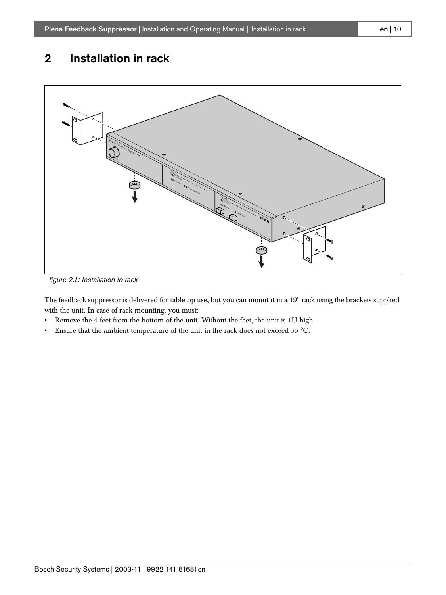# <span id="page-9-0"></span>2 Installation in rack



*figure 2.1: Installation in rack*

The feedback suppressor is delivered for tabletop use, but you can mount it in a 19" rack using the brackets supplied with the unit. In case of rack mounting, you must:

- Remove the 4 feet from the bottom of the unit. Without the feet, the unit is 1U high.
- Ensure that the ambient temperature of the unit in the rack does not exceed 55 °C.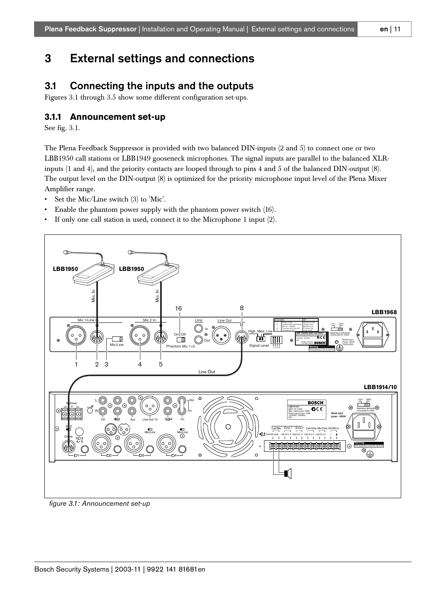# <span id="page-10-0"></span>3 External settings and connections

## <span id="page-10-1"></span>3.1 Connecting the inputs and the outputs

Figures 3.1 through 3.5 show some different configuration set-ups.

#### <span id="page-10-2"></span>**3.1.1 Announcement set-up**

See fig. 3.1.

The Plena Feedback Suppressor is provided with two balanced DIN-inputs (2 and 5) to connect one or two LBB1950 call stations or LBB1949 gooseneck microphones. The signal inputs are parallel to the balanced XLRinputs (1 and 4), and the priority contacts are looped through to pins 4 and 5 of the balanced DIN-output (8). The output level on the DIN-output (8) is optimized for the priority microphone input level of the Plena Mixer Amplifier range.

- Set the Mic/Line switch (3) to 'Mic'.
- Enable the phantom power supply with the phantom power switch (16).
- If only one call station is used, connect it to the Microphone 1 input (2).



*figure 3.1: Announcement set-up*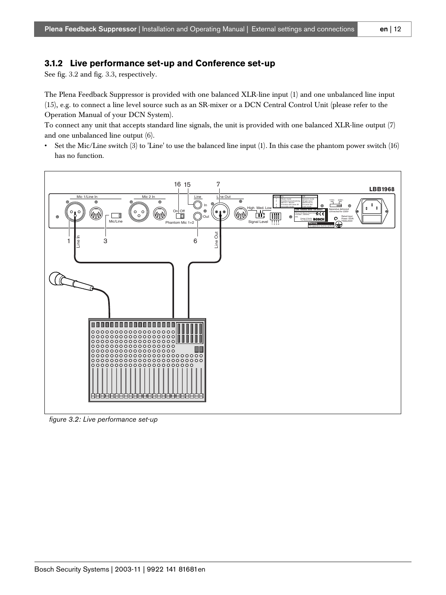#### <span id="page-11-0"></span>**3.1.2 Live performance set-up and Conference set-up**

See fig. 3.2 and fig. 3.3, respectively.

The Plena Feedback Suppressor is provided with one balanced XLR-line input (1) and one unbalanced line input (15), e.g. to connect a line level source such as an SR-mixer or a DCN Central Control Unit (please refer to the Operation Manual of your DCN System).

To connect any unit that accepts standard line signals, the unit is provided with one balanced XLR-line output (7) and one unbalanced line output (6).

• Set the Mic/Line switch (3) to 'Line' to use the balanced line input (1). In this case the phantom power switch (16) has no function.



*figure 3.2: Live performance set-up*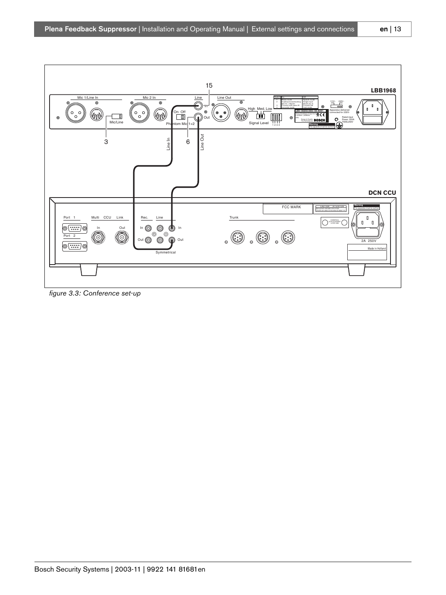

*figure 3.3: Conference set-up*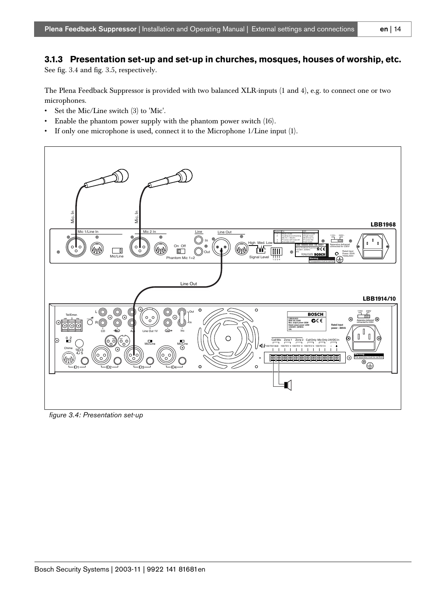### <span id="page-13-0"></span>**3.1.3 Presentation set-up and set-up in churches, mosques, houses of worship, etc.**

See fig. 3.4 and fig. 3.5, respectively.

The Plena Feedback Suppressor is provided with two balanced XLR-inputs (1 and 4), e.g. to connect one or two microphones.

- Set the Mic/Line switch (3) to 'Mic'.
- Enable the phantom power supply with the phantom power switch (16).
- If only one microphone is used, connect it to the Microphone 1/Line input (1).



*figure 3.4: Presentation set-up*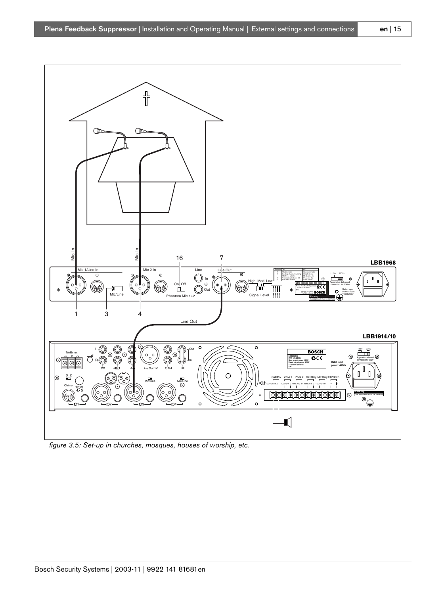

*figure 3.5: Set-up in churches, mosques, houses of worship, etc.*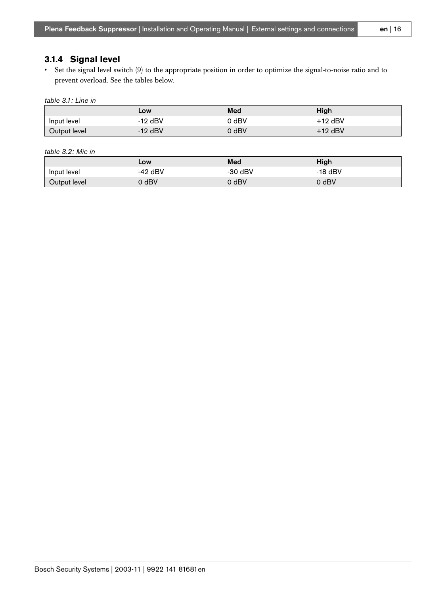<span id="page-15-0"></span>• Set the signal level switch (9) to the appropriate position in order to optimize the signal-to-noise ratio and to prevent overload. See the tables below.

*table 3.1: Line in*

|              | Low       | Med     | High      |
|--------------|-----------|---------|-----------|
| Input level  | $-12$ dBV | dBV     | $+12$ dBV |
| Output level | $-12$ dBV | $J$ dBV | $+12$ dBV |

*table 3.2: Mic in*

|              | LOW       | Med       | High      |
|--------------|-----------|-----------|-----------|
| Input level  | $-42$ dBV | $-30$ dBV | $-18$ dBV |
| Output level | ) dBV     | ) dBV     | 0 dBV     |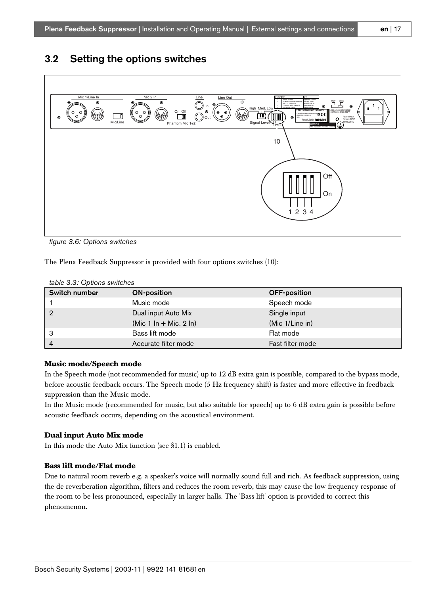## <span id="page-16-0"></span>3.2 Setting the options switches



*figure 3.6: Options switches*

The Plena Feedback Suppressor is provided with four options switches (10):

| table 3.3: Options switches |  |  |
|-----------------------------|--|--|
|-----------------------------|--|--|

| Switch number  | <b>ON-position</b>     | <b>OFF-position</b> |
|----------------|------------------------|---------------------|
|                | Music mode             | Speech mode         |
| 2              | Dual input Auto Mix    | Single input        |
|                | (Mic 1 In + Mic. 2 In) | (Mic 1/Line in)     |
| з              | Bass lift mode         | Flat mode           |
| $\overline{4}$ | Accurate filter mode   | Fast filter mode    |

#### **Music mode/Speech mode**

In the Speech mode (not recommended for music) up to 12 dB extra gain is possible, compared to the bypass mode, before acoustic feedback occurs. The Speech mode (5 Hz frequency shift) is faster and more effective in feedback suppression than the Music mode.

In the Music mode (recommended for music, but also suitable for speech) up to 6 dB extra gain is possible before acoustic feedback occurs, depending on the acoustical environment.

#### **Dual input Auto Mix mode**

In this mode the Auto Mix function (see [§1.1](#page-6-1)) is enabled.

#### **Bass lift mode/Flat mode**

Due to natural room reverb e.g. a speaker's voice will normally sound full and rich. As feedback suppression, using the de-reverberation algorithm, filters and reduces the room reverb, this may cause the low frequency response of the room to be less pronounced, especially in larger halls. The 'Bass lift' option is provided to correct this phenomenon.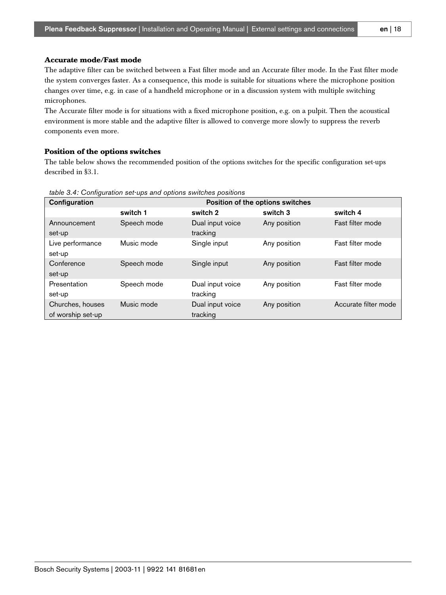#### **Accurate mode/Fast mode**

The adaptive filter can be switched between a Fast filter mode and an Accurate filter mode. In the Fast filter mode the system converges faster. As a consequence, this mode is suitable for situations where the microphone position changes over time, e.g. in case of a handheld microphone or in a discussion system with multiple switching microphones.

The Accurate filter mode is for situations with a fixed microphone position, e.g. on a pulpit. Then the acoustical environment is more stable and the adaptive filter is allowed to converge more slowly to suppress the reverb components even more.

#### **Position of the options switches**

The table below shows the recommended position of the options switches for the specific configuration set-ups described in [§3.1](#page-10-1).

| Configuration                         |             |                              | Position of the options switches |                      |
|---------------------------------------|-------------|------------------------------|----------------------------------|----------------------|
|                                       | switch 1    | switch 2                     | switch 3                         | switch 4             |
| Announcement<br>set-up                | Speech mode | Dual input voice<br>tracking | Any position                     | Fast filter mode     |
| Live performance<br>set-up            | Music mode  | Single input                 | Any position                     | Fast filter mode     |
| Conference<br>set-up                  | Speech mode | Single input                 | Any position                     | Fast filter mode     |
| Presentation<br>set-up                | Speech mode | Dual input voice<br>tracking | Any position                     | Fast filter mode     |
| Churches, houses<br>of worship set-up | Music mode  | Dual input voice<br>tracking | Any position                     | Accurate filter mode |

*table 3.4: Configuration set-ups and options switches positions*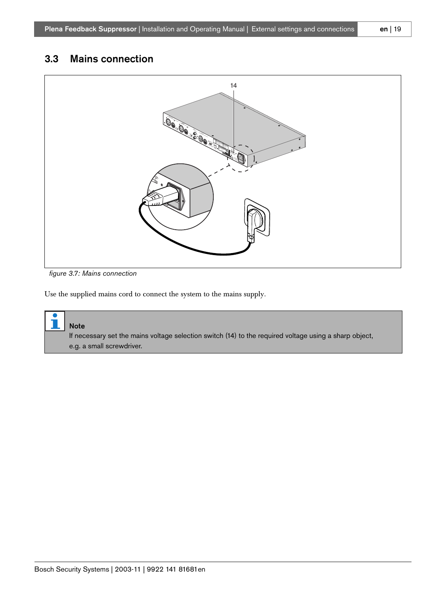## <span id="page-18-0"></span>3.3 Mains connection



*figure 3.7: Mains connection*

Use the supplied mains cord to connect the system to the mains supply.

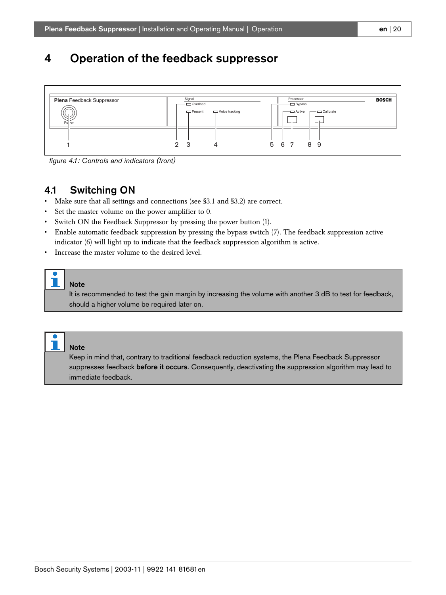# <span id="page-19-0"></span>4 Operation of the feedback suppressor



*figure 4.1: Controls and indicators (front)*

## <span id="page-19-1"></span>4.1 Switching ON

- Make sure that all settings and connections (see [§3.1](#page-10-1) and [§3.2\)](#page-16-0) are correct.
- Set the master volume on the power amplifier to 0.
- Switch ON the Feedback Suppressor by pressing the power button (1).
- Enable automatic feedback suppression by pressing the bypass switch (7). The feedback suppression active indicator (6) will light up to indicate that the feedback suppression algorithm is active.
- Increase the master volume to the desired level.

#### Note

It is recommended to test the gain margin by increasing the volume with another 3 dB to test for feedback, should a higher volume be required later on.



#### Note

Keep in mind that, contrary to traditional feedback reduction systems, the Plena Feedback Suppressor suppresses feedback before it occurs. Consequently, deactivating the suppression algorithm may lead to immediate feedback.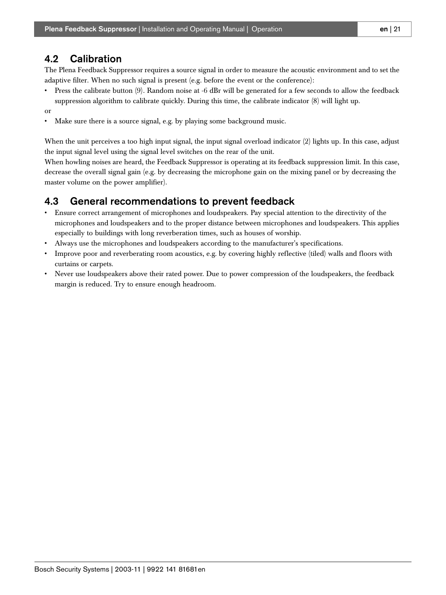### <span id="page-20-0"></span>4.2 Calibration

The Plena Feedback Suppressor requires a source signal in order to measure the acoustic environment and to set the adaptive filter. When no such signal is present (e.g. before the event or the conference):

- Press the calibrate button (9). Random noise at -6 dBr will be generated for a few seconds to allow the feedback suppression algorithm to calibrate quickly. During this time, the calibrate indicator (8) will light up.
- or
- Make sure there is a source signal, e.g. by playing some background music.

When the unit perceives a too high input signal, the input signal overload indicator (2) lights up. In this case, adjust the input signal level using the signal level switches on the rear of the unit.

When howling noises are heard, the Feedback Suppressor is operating at its feedback suppression limit. In this case, decrease the overall signal gain (e.g. by decreasing the microphone gain on the mixing panel or by decreasing the master volume on the power amplifier).

### <span id="page-20-1"></span>4.3 General recommendations to prevent feedback

- Ensure correct arrangement of microphones and loudspeakers. Pay special attention to the directivity of the microphones and loudspeakers and to the proper distance between microphones and loudspeakers. This applies especially to buildings with long reverberation times, such as houses of worship.
- Always use the microphones and loudspeakers according to the manufacturer's specifications.
- Improve poor and reverberating room acoustics, e.g. by covering highly reflective (tiled) walls and floors with curtains or carpets.
- Never use loudspeakers above their rated power. Due to power compression of the loudspeakers, the feedback margin is reduced. Try to ensure enough headroom.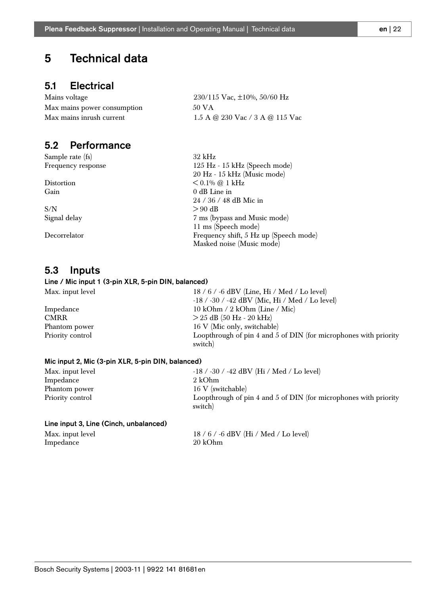# <span id="page-21-0"></span>5 Technical data

### <span id="page-21-1"></span>5.1 Electrical

Mains voltage 230/115 Vac, ±10%, 50/60 Hz Max mains power consumption 50 VA Max mains inrush current 1.5 A @ 230 Vac  $/$  3 A @ 115 Vac

### <span id="page-21-2"></span>5.2 Performance

Sample rate (fs) 32 kHz

 $S/N$   $> 90$  dB

### <span id="page-21-3"></span>5.3 Inputs

#### Line / Mic input 1 (3-pin XLR, 5-pin DIN, balanced)

| Max. input level | 18 / 6 / -6 dBV (Line, Hi / Med / Lo level)                                 |
|------------------|-----------------------------------------------------------------------------|
|                  | $-18$ / $-30$ / $-42$ dBV (Mic, Hi / Med / Lo level)                        |
| Impedance        | 10 kOhm $/$ 2 kOhm (Line $/$ Mic)                                           |
| <b>CMRR</b>      | $> 25$ dB (50 Hz - 20 kHz)                                                  |
| Phantom power    | 16 V (Mic only, switchable)                                                 |
| Priority control | Loopthrough of pin 4 and 5 of DIN (for microphones with priority<br>switch) |
|                  |                                                                             |

#### Mic input 2, Mic (3-pin XLR, 5-pin DIN, balanced)

| Max. input level | $-18$ / $-30$ / $-42$ dBV (Hi / Med / Lo level)                             |
|------------------|-----------------------------------------------------------------------------|
| Impedance        | 2 kOhm                                                                      |
| Phantom power    | 16 V (switchable)                                                           |
| Priority control | Loopthrough of pin 4 and 5 of DIN (for microphones with priority<br>switch) |

#### Line input 3, Line (Cinch, unbalanced)

Impedance

Max. input level  $18 / 6 / -6$  dBV (Hi / Med / Lo level)<br>Impedance  $20$  kOhm

Frequency response 125 Hz - 15 kHz (Speech mode) 20 Hz - 15 kHz (Music mode) Distortion  $< 0.1\%$  @ 1 kHz Gain 0 dB Line in 24 / 36 / 48 dB Mic in Signal delay 7 ms (bypass and Music mode) 11 ms (Speech mode) Decorrelator Frequency shift, 5 Hz up (Speech mode) Masked noise (Music mode)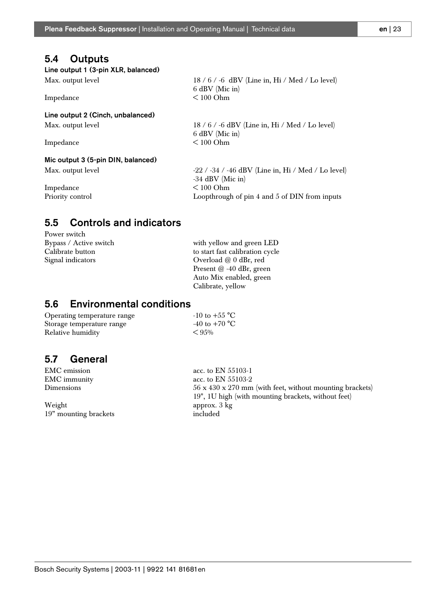### <span id="page-22-0"></span>5.4 Outputs

Line output 1 (3-pin XLR, balanced)

Max. output level 18 / 6 / -6 dBV (Line in, Hi / Med / Lo level)

Impedance

### Line output 2 (Cinch, unbalanced)

Max. output level 18 / 6 / -6 dBV (Line in, Hi / Med / Lo level)

Impedance < 100 Ohm

#### Mic output 3 (5-pin DIN, balanced)

Impedance < 100 Ohm

Max. output level  $-22 / -34 / -46$  dBV (Line in, Hi / Med / Lo level) -34 dBV (Mic in) Priority control **Loopthrough of pin 4 and 5 of DIN from inputs** 

# <span id="page-22-1"></span>5.5 Controls and indicators

Power switch Bypass / Active switch with yellow and green LED

Calibrate button to start fast calibration cycle Signal indicators **Overload @ 0 dBr**, red Present @ -40 dBr, green Auto Mix enabled, green Calibrate, yellow

 $6$  dBV (Mic in)<br> $< 100$  Ohm

6 dBV (Mic in)

## <span id="page-22-2"></span>5.6 Environmental conditions

Operating temperature range  $-10$  to  $+55^{\circ}$ C<br>Storage temperature range  $-40$  to  $+70^{\circ}$ C Storage temperature range Relative humidity  $< 95\%$ 

## <span id="page-22-3"></span>5.7 General

Weight approx. 3 kg<br>19" mounting brackets and approx. 3 kg 19" mounting brackets

EMC emission acc. to EN 55103-1 EMC immunity acc. to EN 55103-2 Dimensions 56 x 430 x 270 mm (with feet, without mounting brackets) 19", 1U high (with mounting brackets, without feet)